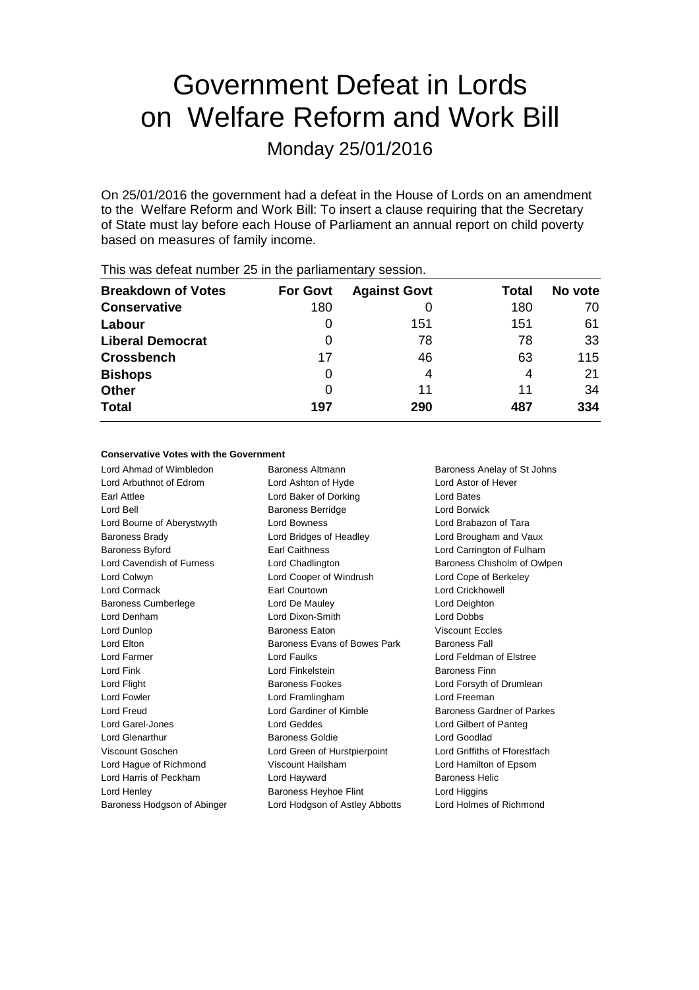# Government Defeat in Lords on Welfare Reform and Work Bill

Monday 25/01/2016

On 25/01/2016 the government had a defeat in the House of Lords on an amendment to the Welfare Reform and Work Bill: To insert a clause requiring that the Secretary of State must lay before each House of Parliament an annual report on child poverty based on measures of family income.

| <b>Breakdown of Votes</b> | <b>For Govt</b> | <b>Against Govt</b> | Total | No vote |
|---------------------------|-----------------|---------------------|-------|---------|
| <b>Conservative</b>       | 180             |                     | 180   | 70      |
| Labour                    | 0               | 151                 | 151   | 61      |
| <b>Liberal Democrat</b>   |                 | 78                  | 78    | 33      |
| <b>Crossbench</b>         | 17              | 46                  | 63    | 115     |
| <b>Bishops</b>            | 0               | 4                   | 4     | 21      |
| <b>Other</b>              |                 | 11                  | 11    | 34      |
| <b>Total</b>              | 197             | 290                 | 487   | 334     |
|                           |                 |                     |       |         |

This was defeat number 25 in the parliamentary session.

### **Conservative Votes with the Government**

Lord Ahmad of Wimbledon Baroness Altmann Baroness Anelay of St Johns Lord Arbuthnot of Edrom Lord Ashton of Hyde Lord Astor of Hever Earl Attlee **Lord Baker of Dorking** Lord Bates Lord Bell **Baroness Berridge** Lord Borwick Lord Bourne of Aberystwyth Lord Bowness Lord Brabazon of Tara Baroness Brady Lord Bridges of Headley Lord Brougham and Vaux Baroness Byford **Earl Caithness** Lord Carrington of Fulham Lord Cavendish of Furness Lord Chadlington Baroness Chisholm of Owlpen Lord Colwyn Lord Cooper of Windrush Lord Cope of Berkeley Lord Cormack Earl Courtown Lord Crickhowell Baroness Cumberlege Lord De Mauley Lord Deighton Lord Denham Lord Dixon-Smith Lord Dobbs Lord Dunlop Baroness Eaton Viscount Eccles Lord Elton **Baroness Evans of Bowes Park** Baroness Fall Lord Farmer Lord Faulks Lord Feldman of Elstree Lord Fink Lord Finkelstein **Baroness Finn** Lord Flight **Baroness Fookes** Lord Forsyth of Drumlean Lord Fowler Lord Framlingham Lord Freeman Lord Freud Lord Gardiner of Kimble Baroness Gardner of Parkes Lord Garel-Jones Lord Geddes Lord Gilbert of Panteg Lord Glenarthur Baroness Goldie Lord Goodlad Viscount Goschen Lord Green of Hurstpierpoint Lord Griffiths of Fforestfach Lord Hague of Richmond Viscount Hailsham Lord Hamilton of Epsom Lord Harris of Peckham **Lord Hayward** Baroness Helic Lord Henley **Baroness Heyhoe Flint** Lord Higgins Lord Higgins

Baroness Hodgson of Abinger Lord Hodgson of Astley Abbotts Lord Holmes of Richmond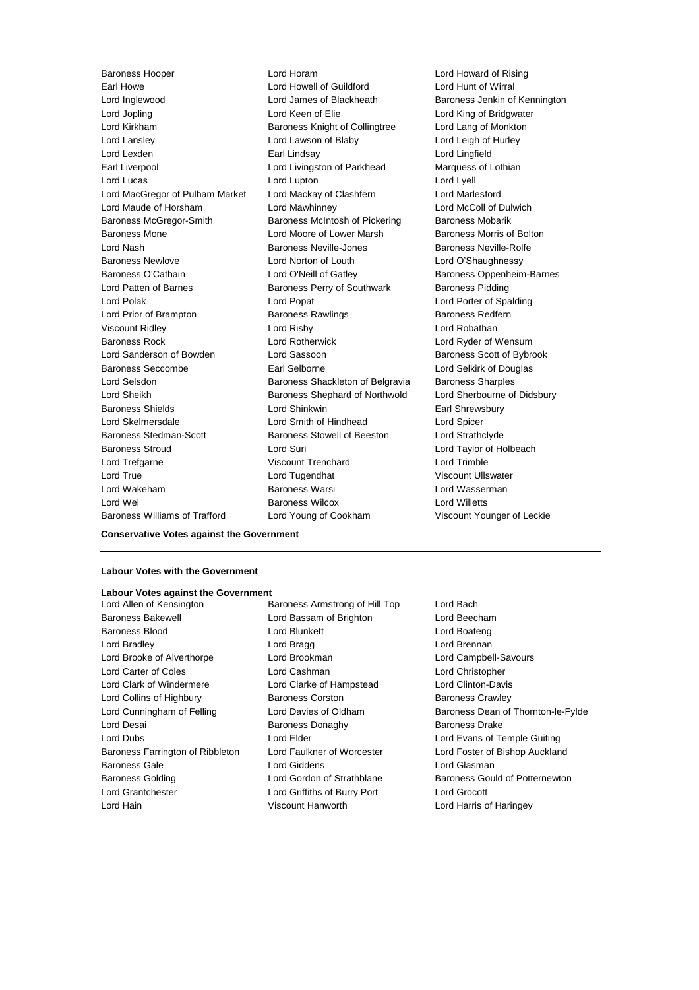Earl Howe Lord Howell of Guildford Lord Hunt of Wirral Lord Inglewood Lord James of Blackheath Baroness Jenkin of Kennington Lord Jopling **Lord Keen of Elie** Lord Keen Clear Lord King of Bridgwater Lord Kirkham Baroness Knight of Collingtree Lord Lang of Monkton Lord Lansley **Lord Lawson of Blaby** Lord Lord Leigh of Hurley Lord Lexden Earl Lindsay Lord Lingfield Earl Liverpool **Lord Livingston of Parkhead** Marquess of Lothian Lord Lucas Lord Lupton Lord Lyell Lord MacGregor of Pulham Market Lord Mackay of Clashfern Lord Marlesford Lord Maude of Horsham Lord Mawhinney Lord McColl of Dulwich Baroness McGregor-Smith Baroness McIntosh of Pickering Baroness Mobarik Baroness Mone **Lord Moore of Lower Marsh Baroness Morris of Bolton** Lord Nash **Baroness Neville-Jones** Baroness Neville-Rolfe Baroness Newlove Lord Norton of Louth Lord O'Shaughnessy Baroness O'Cathain Lord O'Neill of Gatley Baroness Oppenheim-Barnes Lord Patten of Barnes **Baroness Perry of Southwark** Baroness Pidding Lord Polak Lord Cord Popat Lord Porter of Spalding Lord Prior of Brampton **Baroness Rawlings** Baroness Redfern Viscount Ridley Lord Risby Lord Robathan Baroness Rock Lord Rotherwick Lord Ryder of Wensum Lord Sanderson of Bowden Lord Sassoon and Baroness Scott of Bybrook Baroness Seccombe **Earl Selborne Earl Selborne Lord Selkirk of Douglas** Lord Selsdon Baroness Shackleton of Belgravia Baroness Sharples Lord Sheikh Baroness Shephard of Northwold Lord Sherbourne of Didsbury Baroness Shields Lord Shinkwin Earl Shrewsbury Lord Skelmersdale Lord Smith of Hindhead Lord Spicer Baroness Stedman-Scott Baroness Stowell of Beeston Lord Strathclyde Baroness Stroud Lord Suri Lord Taylor of Holbeach Lord Trefgarne Viscount Trenchard Lord Trimble Lord True Lord Tugendhat Viscount Ullswater Lord Wakeham Baroness Warsi Lord Wasserman Lord Wei **Baroness Wilcox Baroness Wilcox Lord Willetts** 

Baroness Hooper Lord Horam Lord Howard of Rising Baroness Williams of Trafford Lord Young of Cookham Viscount Younger of Leckie

**Conservative Votes against the Government**

### **Labour Votes with the Government**

#### **Labour Votes against the Government**

- Baroness Bakewell Lord Bassam of Brighton Lord Beecham Baroness Blood **Lord Blunkett** Lord Boateng Lord Boateng Lord Bradley **Lord Bragg Lord Brennan** Lord Brooke of Alverthorpe Lord Brookman Lord Campbell-Savours Lord Carter of Coles Lord Cashman Lord Christopher Lord Clark of Windermere Lord Clarke of Hampstead Lord Clinton-Davis Lord Collins of Highbury **Baroness Corston** Baroness Crawley Lord Desai **Baroness Donaghy** Baroness Donaghy Baroness Drake Lord Dubs **Lord Elder** Lord Elder **Lord Evans of Temple Guiting** Baroness Farrington of Ribbleton Lord Faulkner of Worcester Lord Foster of Bishop Auckland Baroness Gale Lord Giddens Lord Glasman Baroness Golding **Lord Gordon of Strathblane** Baroness Gould of Potternewton Lord Grantchester Lord Griffiths of Burry Port Lord Grocott Lord Hain Viscount Hanworth Lord Harris of Haringey
- Lord Allen of Kensington Baroness Armstrong of Hill Top Lord Bach
- Lord Cunningham of Felling Lord Davies of Oldham Baroness Dean of Thornton-le-Fylde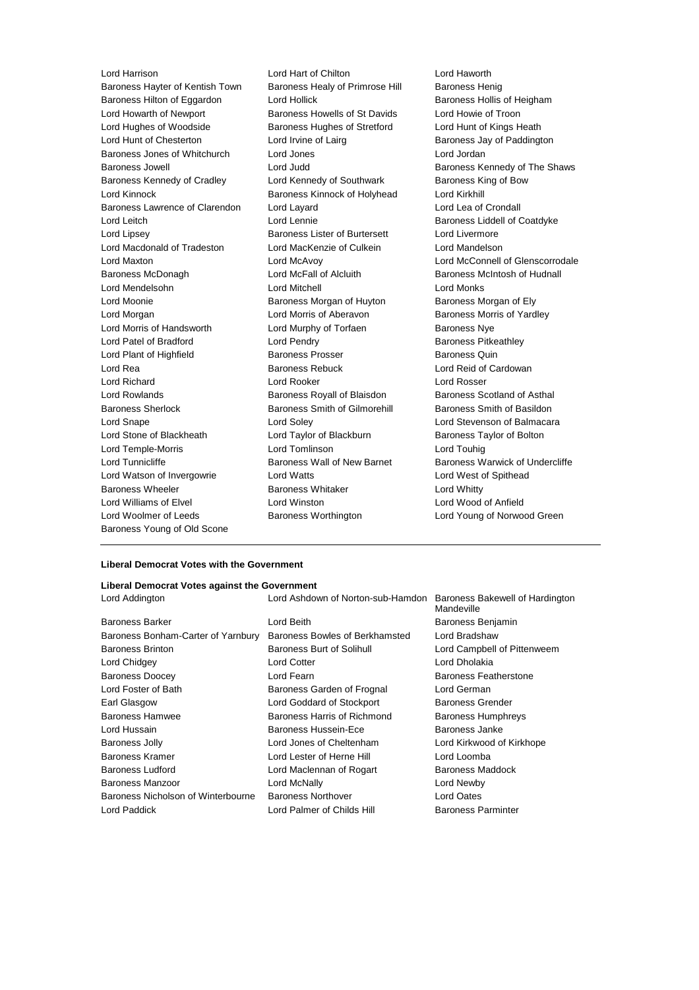Baroness Hayter of Kentish Town Baroness Healy of Primrose Hill Baroness Henig Baroness Hilton of Eggardon Lord Hollick Baroness Hollis of Heigham Lord Howarth of Newport Baroness Howells of St Davids Lord Howie of Troon Lord Hughes of Woodside Baroness Hughes of Stretford Lord Hunt of Kings Heath Lord Hunt of Chesterton **Lord Irvine of Lairg** Baroness Jay of Paddington Baroness Jones of Whitchurch Lord Jones Lord Jordan Baroness Jowell Lord Judd Baroness Kennedy of The Shaws Baroness Kennedy of Cradley Lord Kennedy of Southwark Baroness King of Bow Lord Kinnock Baroness Kinnock of Holyhead Lord Kirkhill Baroness Lawrence of Clarendon Lord Layard Lord Lea of Crondall Lord Leitch Lord Lennie Baroness Liddell of Coatdyke Lord Lipsey Baroness Lister of Burtersett Lord Livermore Lord Macdonald of Tradeston Lord MacKenzie of Culkein Lord Mandelson Lord Maxton Lord McAvoy Lord McConnell of Glenscorrodale Baroness McDonagh **Lord McFall of Alcluith** Baroness McIntosh of Hudnall Lord Mendelsohn Lord Mitchell Lord Monks Lord Moonie **Baroness Morgan of Huyton** Baroness Morgan of Ely Lord Morgan **Lord Morris of Aberavon** Baroness Morris of Yardley Lord Morris of Handsworth **Lord Murphy of Torfaen** Baroness Nye Lord Patel of Bradford **Lord Pendry Community** Baroness Pitkeathley Lord Plant of Highfield **Baroness Prosser Baroness Quin** Baroness Quin Lord Rea **Baroness Rebuck** Lord Reid of Cardowan Baroness Rebuck Lord Reid of Cardowan Lord Richard Lord Rooker Lord Rosser Lord Rowlands **Baroness Royall of Blaisdon** Baroness Scotland of Asthal Baroness Sherlock **Baroness Smith of Gilmorehill** Baroness Smith of Basildon Lord Snape Lord Soley Lord Stevenson of Balmacara Lord Stone of Blackheath Lord Taylor of Blackburn Baroness Taylor of Bolton Lord Temple-Morris Lord Tomlinson Lord Touhig Lord Tunnicliffe **Baroness Wall of New Barnet** Baroness Warwick of Undercliffe Lord Watson of Invergowrie Lord Watts Lord West of Spithead Baroness Wheeler **Baroness Whitaker** Lord Whitty Lord Williams of Elvel Lord Winston Lord Wood of Anfield Lord Woolmer of Leeds Baroness Worthington Lord Young of Norwood Green Baroness Young of Old Scone

Lord Harrison Lord Hart of Chilton Lord Haworth

### **Liberal Democrat Votes with the Government**

### **Liberal Democrat Votes against the Government**

| Lord Addington                     | Lord Ashdown of Norton-sub-Hamdon Baroness Bakewell of Hardington | Mandeville                   |
|------------------------------------|-------------------------------------------------------------------|------------------------------|
| Baroness Barker                    | Lord Beith                                                        | Baroness Benjamin            |
| Baroness Bonham-Carter of Yarnbury | Baroness Bowles of Berkhamsted                                    | Lord Bradshaw                |
| <b>Baroness Brinton</b>            | Baroness Burt of Solihull                                         | Lord Campbell of Pittenweem  |
| Lord Chidgey                       | <b>Lord Cotter</b>                                                | Lord Dholakia                |
| <b>Baroness Doocey</b>             | Lord Fearn                                                        | <b>Baroness Featherstone</b> |
| Lord Foster of Bath                | Baroness Garden of Frognal                                        | Lord German                  |
| Earl Glasgow                       | Lord Goddard of Stockport                                         | Baroness Grender             |
| Baroness Hamwee                    | Baroness Harris of Richmond                                       | <b>Baroness Humphreys</b>    |
| Lord Hussain                       | Baroness Hussein-Ece                                              | Baroness Janke               |
| <b>Baroness Jolly</b>              | Lord Jones of Cheltenham                                          | Lord Kirkwood of Kirkhope    |
| Baroness Kramer                    | Lord Lester of Herne Hill                                         | Lord Loomba                  |
| <b>Baroness Ludford</b>            | Lord Maclennan of Rogart                                          | <b>Baroness Maddock</b>      |
| Baroness Manzoor                   | Lord McNally                                                      | Lord Newby                   |
| Baroness Nicholson of Winterbourne | <b>Baroness Northover</b>                                         | Lord Oates                   |
| Lord Paddick                       | Lord Palmer of Childs Hill                                        | <b>Baroness Parminter</b>    |